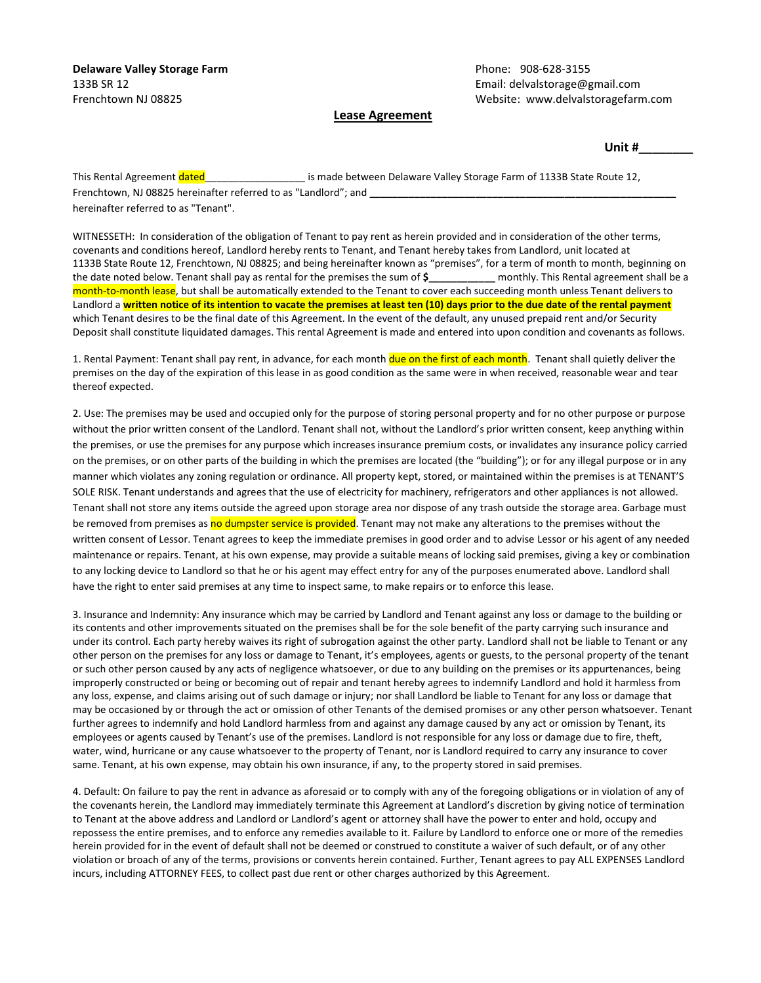133B SR 12 Email: delvalstorage@gmail.com Frenchtown NJ 08825 Website: www.delvalstoragefarm.com

## **Lease Agreement**

**Unit #\_\_\_\_\_\_\_\_**

This Rental Agreement dated and the state of is made between Delaware Valley Storage Farm of 1133B State Route 12, Frenchtown, NJ 08825 hereinafter referred to as "Landlord"; and hereinafter referred to as "Tenant".

WITNESSETH: In consideration of the obligation of Tenant to pay rent as herein provided and in consideration of the other terms, covenants and conditions hereof, Landlord hereby rents to Tenant, and Tenant hereby takes from Landlord, unit located at 1133B State Route 12, Frenchtown, NJ 08825; and being hereinafter known as "premises", for a term of month to month, beginning on the date noted below. Tenant shall pay as rental for the premises the sum of **\$\_\_\_\_\_\_\_\_\_\_\_\_** monthly. This Rental agreement shall be a month-to-month lease, but shall be automatically extended to the Tenant to cover each succeeding month unless Tenant delivers to Landlord a **written notice of its intention to vacate the premises at least ten (10) days prior to the due date of the rental payment** which Tenant desires to be the final date of this Agreement. In the event of the default, any unused prepaid rent and/or Security Deposit shall constitute liquidated damages. This rental Agreement is made and entered into upon condition and covenants as follows.

1. Rental Payment: Tenant shall pay rent, in advance, for each month due on the first of each month. Tenant shall quietly deliver the premises on the day of the expiration of this lease in as good condition as the same were in when received, reasonable wear and tear thereof expected.

2. Use: The premises may be used and occupied only for the purpose of storing personal property and for no other purpose or purpose without the prior written consent of the Landlord. Tenant shall not, without the Landlord's prior written consent, keep anything within the premises, or use the premises for any purpose which increases insurance premium costs, or invalidates any insurance policy carried on the premises, or on other parts of the building in which the premises are located (the "building"); or for any illegal purpose or in any manner which violates any zoning regulation or ordinance. All property kept, stored, or maintained within the premises is at TENANT'S SOLE RISK. Tenant understands and agrees that the use of electricity for machinery, refrigerators and other appliances is not allowed. Tenant shall not store any items outside the agreed upon storage area nor dispose of any trash outside the storage area. Garbage must be removed from premises as no dumpster service is provided. Tenant may not make any alterations to the premises without the written consent of Lessor. Tenant agrees to keep the immediate premises in good order and to advise Lessor or his agent of any needed maintenance or repairs. Tenant, at his own expense, may provide a suitable means of locking said premises, giving a key or combination to any locking device to Landlord so that he or his agent may effect entry for any of the purposes enumerated above. Landlord shall have the right to enter said premises at any time to inspect same, to make repairs or to enforce this lease.

3. Insurance and Indemnity: Any insurance which may be carried by Landlord and Tenant against any loss or damage to the building or its contents and other improvements situated on the premises shall be for the sole benefit of the party carrying such insurance and under its control. Each party hereby waives its right of subrogation against the other party. Landlord shall not be liable to Tenant or any other person on the premises for any loss or damage to Tenant, it's employees, agents or guests, to the personal property of the tenant or such other person caused by any acts of negligence whatsoever, or due to any building on the premises or its appurtenances, being improperly constructed or being or becoming out of repair and tenant hereby agrees to indemnify Landlord and hold it harmless from any loss, expense, and claims arising out of such damage or injury; nor shall Landlord be liable to Tenant for any loss or damage that may be occasioned by or through the act or omission of other Tenants of the demised promises or any other person whatsoever. Tenant further agrees to indemnify and hold Landlord harmless from and against any damage caused by any act or omission by Tenant, its employees or agents caused by Tenant's use of the premises. Landlord is not responsible for any loss or damage due to fire, theft, water, wind, hurricane or any cause whatsoever to the property of Tenant, nor is Landlord required to carry any insurance to cover same. Tenant, at his own expense, may obtain his own insurance, if any, to the property stored in said premises.

4. Default: On failure to pay the rent in advance as aforesaid or to comply with any of the foregoing obligations or in violation of any of the covenants herein, the Landlord may immediately terminate this Agreement at Landlord's discretion by giving notice of termination to Tenant at the above address and Landlord or Landlord's agent or attorney shall have the power to enter and hold, occupy and repossess the entire premises, and to enforce any remedies available to it. Failure by Landlord to enforce one or more of the remedies herein provided for in the event of default shall not be deemed or construed to constitute a waiver of such default, or of any other violation or broach of any of the terms, provisions or convents herein contained. Further, Tenant agrees to pay ALL EXPENSES Landlord incurs, including ATTORNEY FEES, to collect past due rent or other charges authorized by this Agreement.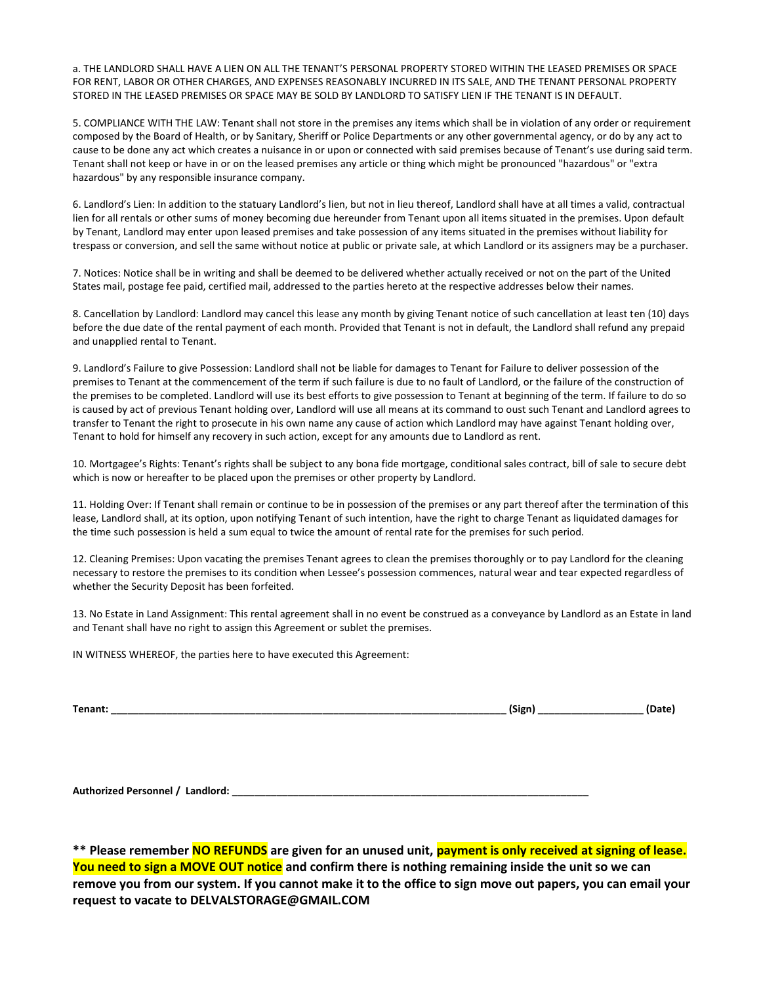a. THE LANDLORD SHALL HAVE A LIEN ON ALL THE TENANT'S PERSONAL PROPERTY STORED WITHIN THE LEASED PREMISES OR SPACE FOR RENT, LABOR OR OTHER CHARGES, AND EXPENSES REASONABLY INCURRED IN ITS SALE, AND THE TENANT PERSONAL PROPERTY STORED IN THE LEASED PREMISES OR SPACE MAY BE SOLD BY LANDLORD TO SATISFY LIEN IF THE TENANT IS IN DEFAULT.

5. COMPLIANCE WITH THE LAW: Tenant shall not store in the premises any items which shall be in violation of any order or requirement composed by the Board of Health, or by Sanitary, Sheriff or Police Departments or any other governmental agency, or do by any act to cause to be done any act which creates a nuisance in or upon or connected with said premises because of Tenant's use during said term. Tenant shall not keep or have in or on the leased premises any article or thing which might be pronounced "hazardous" or "extra hazardous" by any responsible insurance company.

6. Landlord's Lien: In addition to the statuary Landlord's lien, but not in lieu thereof, Landlord shall have at all times a valid, contractual lien for all rentals or other sums of money becoming due hereunder from Tenant upon all items situated in the premises. Upon default by Tenant, Landlord may enter upon leased premises and take possession of any items situated in the premises without liability for trespass or conversion, and sell the same without notice at public or private sale, at which Landlord or its assigners may be a purchaser.

7. Notices: Notice shall be in writing and shall be deemed to be delivered whether actually received or not on the part of the United States mail, postage fee paid, certified mail, addressed to the parties hereto at the respective addresses below their names.

8. Cancellation by Landlord: Landlord may cancel this lease any month by giving Tenant notice of such cancellation at least ten (10) days before the due date of the rental payment of each month. Provided that Tenant is not in default, the Landlord shall refund any prepaid and unapplied rental to Tenant.

9. Landlord's Failure to give Possession: Landlord shall not be liable for damages to Tenant for Failure to deliver possession of the premises to Tenant at the commencement of the term if such failure is due to no fault of Landlord, or the failure of the construction of the premises to be completed. Landlord will use its best efforts to give possession to Tenant at beginning of the term. If failure to do so is caused by act of previous Tenant holding over, Landlord will use all means at its command to oust such Tenant and Landlord agrees to transfer to Tenant the right to prosecute in his own name any cause of action which Landlord may have against Tenant holding over, Tenant to hold for himself any recovery in such action, except for any amounts due to Landlord as rent.

10. Mortgagee's Rights: Tenant's rights shall be subject to any bona fide mortgage, conditional sales contract, bill of sale to secure debt which is now or hereafter to be placed upon the premises or other property by Landlord.

11. Holding Over: If Tenant shall remain or continue to be in possession of the premises or any part thereof after the termination of this lease, Landlord shall, at its option, upon notifying Tenant of such intention, have the right to charge Tenant as liquidated damages for the time such possession is held a sum equal to twice the amount of rental rate for the premises for such period.

12. Cleaning Premises: Upon vacating the premises Tenant agrees to clean the premises thoroughly or to pay Landlord for the cleaning necessary to restore the premises to its condition when Lessee's possession commences, natural wear and tear expected regardless of whether the Security Deposit has been forfeited.

13. No Estate in Land Assignment: This rental agreement shall in no event be construed as a conveyance by Landlord as an Estate in land and Tenant shall have no right to assign this Agreement or sublet the premises.

IN WITNESS WHEREOF, the parties here to have executed this Agreement:

| Tenant: | $\cdots$<br>Sion<br>יאישו |  |  |
|---------|---------------------------|--|--|
|---------|---------------------------|--|--|

**Authorized Personnel / Landlord: \_\_\_\_\_\_\_\_\_\_\_\_\_\_\_\_\_\_\_\_\_\_\_\_\_\_\_\_\_\_\_\_\_\_\_\_\_\_\_\_\_\_\_\_\_\_\_\_\_\_\_\_\_\_\_\_\_\_\_\_\_\_\_\_**

**\*\* Please remember NO REFUNDS are given for an unused unit, payment is only received at signing of lease. You need to sign a MOVE OUT notice and confirm there is nothing remaining inside the unit so we can remove you from our system. If you cannot make it to the office to sign move out papers, you can email your request to vacate to DELVALSTORAGE@GMAIL.COM**